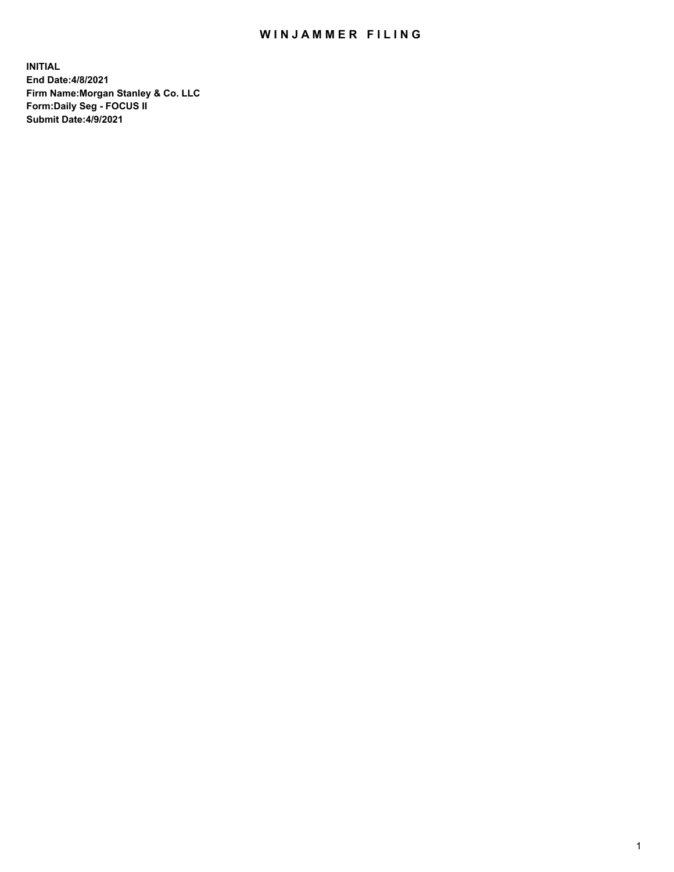## WIN JAMMER FILING

**INITIAL End Date:4/8/2021 Firm Name:Morgan Stanley & Co. LLC Form:Daily Seg - FOCUS II Submit Date:4/9/2021**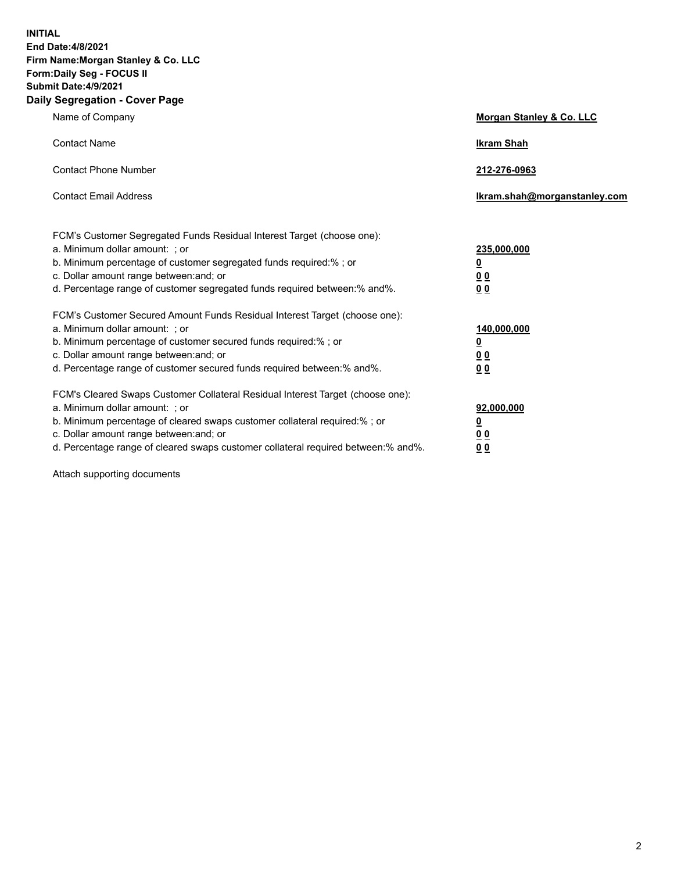**INITIAL End Date:4/8/2021 Firm Name:Morgan Stanley & Co. LLC Form:Daily Seg - FOCUS II Submit Date:4/9/2021 Daily Segregation - Cover Page**

| Name of Company                                                                                                                                                                                                                                                                                                                | Morgan Stanley & Co. LLC                                   |
|--------------------------------------------------------------------------------------------------------------------------------------------------------------------------------------------------------------------------------------------------------------------------------------------------------------------------------|------------------------------------------------------------|
| <b>Contact Name</b>                                                                                                                                                                                                                                                                                                            | <b>Ikram Shah</b>                                          |
| <b>Contact Phone Number</b>                                                                                                                                                                                                                                                                                                    | 212-276-0963                                               |
| <b>Contact Email Address</b>                                                                                                                                                                                                                                                                                                   | lkram.shah@morganstanley.com                               |
| FCM's Customer Segregated Funds Residual Interest Target (choose one):<br>a. Minimum dollar amount: ; or<br>b. Minimum percentage of customer segregated funds required:% ; or<br>c. Dollar amount range between: and; or<br>d. Percentage range of customer segregated funds required between:% and%.                         | 235,000,000<br><u>0</u><br><u>00</u><br>0 <sup>0</sup>     |
| FCM's Customer Secured Amount Funds Residual Interest Target (choose one):<br>a. Minimum dollar amount: ; or<br>b. Minimum percentage of customer secured funds required:%; or<br>c. Dollar amount range between: and; or<br>d. Percentage range of customer secured funds required between:% and%.                            | 140,000,000<br><u>0</u><br><u>0 0</u><br>0 Q               |
| FCM's Cleared Swaps Customer Collateral Residual Interest Target (choose one):<br>a. Minimum dollar amount: ; or<br>b. Minimum percentage of cleared swaps customer collateral required:% ; or<br>c. Dollar amount range between: and; or<br>d. Percentage range of cleared swaps customer collateral required between:% and%. | 92,000,000<br><u>0</u><br>0 <sup>0</sup><br>0 <sub>0</sub> |

Attach supporting documents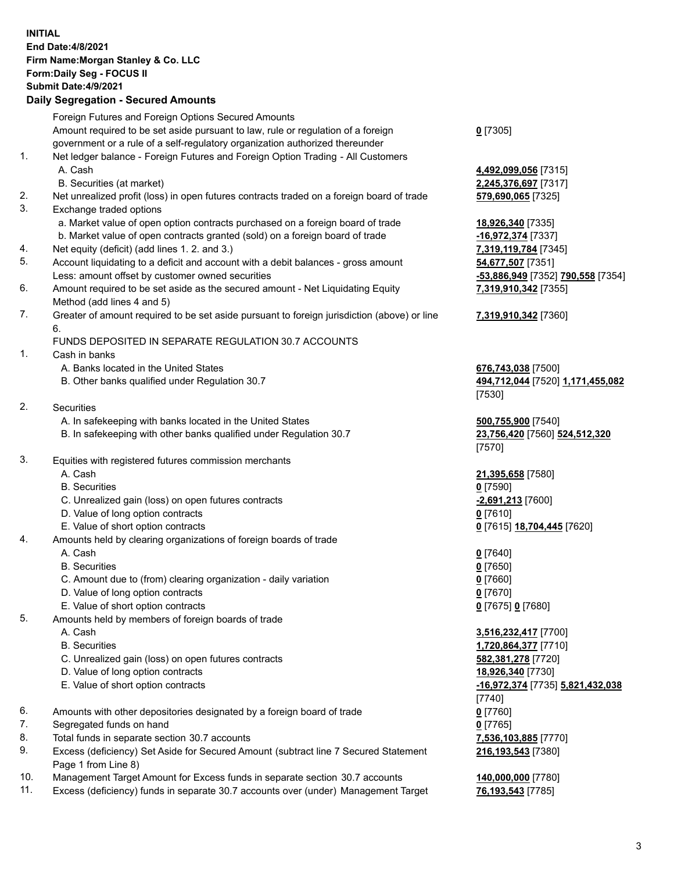## **INITIAL End Date:4/8/2021 Firm Name:Morgan Stanley & Co. LLC Form:Daily Seg - FOCUS II Submit Date:4/9/2021 Daily Segregation - Secured Amounts** Foreign Futures and Foreign Options Secured Amounts Amount required to be set aside pursuant to law, rule or regulation of a foreign government or a rule of a self-regulatory organization authorized thereunder 1. Net ledger balance - Foreign Futures and Foreign Option Trading - All Customers A. Cash **4,492,099,056** [7315] B. Securities (at market) **2,245,376,697** [7317] 2. Net unrealized profit (loss) in open futures contracts traded on a foreign board of trade **579,690,065** [7325] 3. Exchange traded options a. Market value of open option contracts purchased on a foreign board of trade **18,926,340** [7335] b. Market value of open contracts granted (sold) on a foreign board of trade **-16,972,374** [7337] 4. Net equity (deficit) (add lines 1. 2. and 3.) **7,319,119,784** [7345] 5. Account liquidating to a deficit and account with a debit balances - gross amount **54,677,507** [7351] Less: amount offset by customer owned securities **-53,886,949** [7352] **790,558** [7354] 6. Amount required to be set aside as the secured amount - Net Liquidating Equity Method (add lines 4 and 5) 7. Greater of amount required to be set aside pursuant to foreign jurisdiction (above) or line 6. FUNDS DEPOSITED IN SEPARATE REGULATION 30.7 ACCOUNTS 1. Cash in banks A. Banks located in the United States **676,743,038** [7500] B. Other banks qualified under Regulation 30.7 **494,712,044** [7520] **1,171,455,082** 2. Securities A. In safekeeping with banks located in the United States **500,755,900** [7540] B. In safekeeping with other banks qualified under Regulation 30.7 **23,756,420** [7560] **524,512,320** 3. Equities with registered futures commission merchants A. Cash **21,395,658** [7580] B. Securities **0** [7590] C. Unrealized gain (loss) on open futures contracts **-2,691,213** [7600] D. Value of long option contracts **0** [7610] E. Value of short option contracts **0** [7615] **18,704,445** [7620] 4. Amounts held by clearing organizations of foreign boards of trade A. Cash **0** [7640] B. Securities **0** [7650] C. Amount due to (from) clearing organization - daily variation **0** [7660] D. Value of long option contracts **0** [7670] E. Value of short option contracts **0** [7675] **0** [7680] 5. Amounts held by members of foreign boards of trade A. Cash **3,516,232,417** [7700] B. Securities **1,720,864,377** [7710] C. Unrealized gain (loss) on open futures contracts **582,381,278** [7720] D. Value of long option contracts **18,926,340** [7730] E. Value of short option contracts **-16,972,374** [7735] **5,821,432,038** 6. Amounts with other depositories designated by a foreign board of trade **0** [7760]

- 7. Segregated funds on hand **0** [7765]
- 8. Total funds in separate section 30.7 accounts **7,536,103,885** [7770]
- 9. Excess (deficiency) Set Aside for Secured Amount (subtract line 7 Secured Statement Page 1 from Line 8)
- 10. Management Target Amount for Excess funds in separate section 30.7 accounts **140,000,000** [7780]
- 11. Excess (deficiency) funds in separate 30.7 accounts over (under) Management Target **76,193,543** [7785]

**0** [7305]

**7,319,910,342** [7355]

## **7,319,910,342** [7360]

[7530]

[7570]

[7740] **216,193,543** [7380]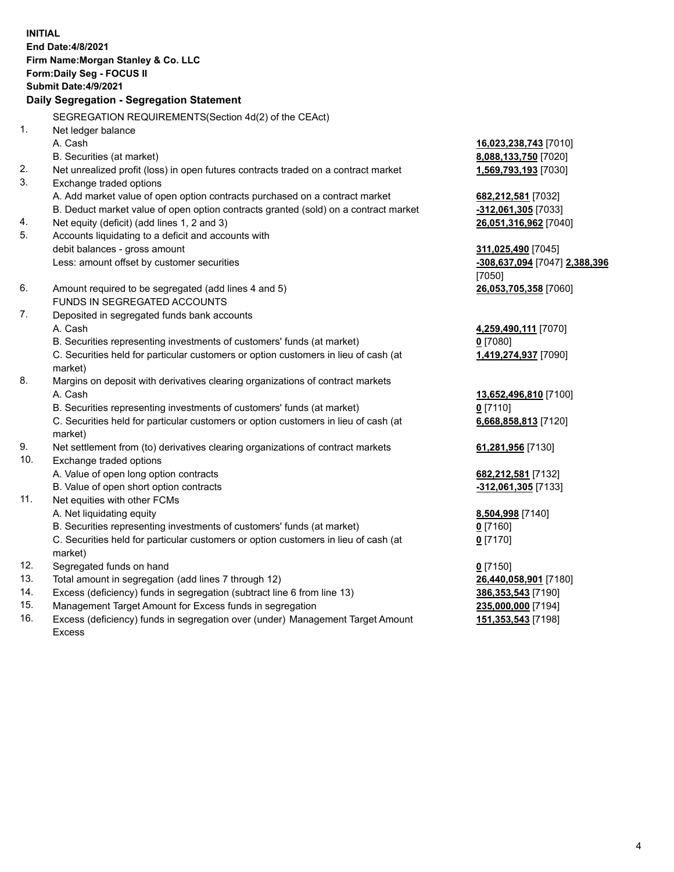|     | <b>INITIAL</b><br>End Date: 4/8/2021<br>Firm Name: Morgan Stanley & Co. LLC<br>Form: Daily Seg - FOCUS II<br>Submit Date: 4/9/2021<br>Daily Segregation - Segregation Statement |                               |
|-----|---------------------------------------------------------------------------------------------------------------------------------------------------------------------------------|-------------------------------|
|     | SEGREGATION REQUIREMENTS(Section 4d(2) of the CEAct)                                                                                                                            |                               |
| 1.  | Net ledger balance                                                                                                                                                              |                               |
|     | A. Cash                                                                                                                                                                         | 16,023,238,743 [7010]         |
|     | B. Securities (at market)                                                                                                                                                       | 8,088,133,750 [7020]          |
| 2.  | Net unrealized profit (loss) in open futures contracts traded on a contract market                                                                                              | 1,569,793,193 [7030]          |
| 3.  | Exchange traded options                                                                                                                                                         |                               |
|     | A. Add market value of open option contracts purchased on a contract market                                                                                                     | 682, 212, 581 [7032]          |
|     | B. Deduct market value of open option contracts granted (sold) on a contract market                                                                                             | -312,061,305 [7033]           |
| 4.  | Net equity (deficit) (add lines 1, 2 and 3)                                                                                                                                     | 26,051,316,962 [7040]         |
| 5.  | Accounts liquidating to a deficit and accounts with                                                                                                                             |                               |
|     | debit balances - gross amount                                                                                                                                                   | 311,025,490 [7045]            |
|     | Less: amount offset by customer securities                                                                                                                                      | -308,637,094 [7047] 2,388,396 |
|     |                                                                                                                                                                                 | [7050]                        |
| 6.  | Amount required to be segregated (add lines 4 and 5)                                                                                                                            | 26,053,705,358 [7060]         |
|     | FUNDS IN SEGREGATED ACCOUNTS                                                                                                                                                    |                               |
| 7.  | Deposited in segregated funds bank accounts                                                                                                                                     |                               |
|     | A. Cash                                                                                                                                                                         | 4,259,490,111 [7070]          |
|     | B. Securities representing investments of customers' funds (at market)                                                                                                          | $0$ [7080]                    |
|     | C. Securities held for particular customers or option customers in lieu of cash (at<br>market)                                                                                  | 1,419,274,937 [7090]          |
| 8.  | Margins on deposit with derivatives clearing organizations of contract markets                                                                                                  |                               |
|     | A. Cash                                                                                                                                                                         | 13,652,496,810 [7100]         |
|     | B. Securities representing investments of customers' funds (at market)                                                                                                          | $0$ [7110]                    |
|     | C. Securities held for particular customers or option customers in lieu of cash (at<br>market)                                                                                  | 6,668,858,813 [7120]          |
| 9.  | Net settlement from (to) derivatives clearing organizations of contract markets                                                                                                 | 61,281,956 [7130]             |
| 10. | Exchange traded options                                                                                                                                                         |                               |
|     | A. Value of open long option contracts                                                                                                                                          | 682, 212, 581 [7132]          |
|     | B. Value of open short option contracts                                                                                                                                         | $-312,061,305$ [7133]         |
| 11. | Net equities with other FCMs                                                                                                                                                    |                               |
|     | A. Net liquidating equity                                                                                                                                                       | 8,504,998 [7140]              |
|     | B. Securities representing investments of customers' funds (at market)                                                                                                          | $0$ [7160]                    |
|     | C. Securities held for particular customers or option customers in lieu of cash (at<br>market)                                                                                  | $0$ [7170]                    |
| 12. | Segregated funds on hand                                                                                                                                                        | $0$ [7150]                    |
| 13. | Total amount in segregation (add lines 7 through 12)                                                                                                                            | 26,440,058,901 [7180]         |
| 14. | Excess (deficiency) funds in segregation (subtract line 6 from line 13)                                                                                                         | 386, 353, 543 [7190]          |
| 15  | Managament Target Amount for Excass funds in cogregation                                                                                                                        | <b>225 000 000 174041</b>     |

15. Management Target Amount for Excess funds in segregation<br>16. Excess (deficiency) funds in segregation over (under) Manag Excess (deficiency) funds in segregation over (under) Management Target Amount Excess

**151,353,543** [7198]